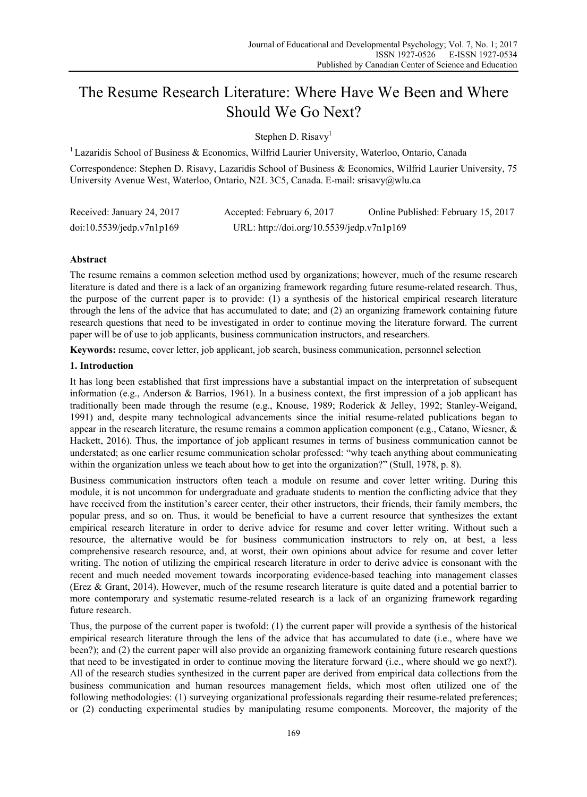# The Resume Research Literature: Where Have We Been and Where Should We Go Next?

Stephen D. Risavy $<sup>1</sup>$ </sup>

1 Lazaridis School of Business & Economics, Wilfrid Laurier University, Waterloo, Ontario, Canada

Correspondence: Stephen D. Risavy, Lazaridis School of Business & Economics, Wilfrid Laurier University, 75 University Avenue West, Waterloo, Ontario, N2L 3C5, Canada. E-mail: srisavy@wlu.ca

| Received: January 24, 2017 | Accepted: February 6, 2017                | Online Published: February 15, 2017 |
|----------------------------|-------------------------------------------|-------------------------------------|
| doi:10.5539/jedp.v7n1p169  | URL: http://doi.org/10.5539/jedp.v7n1p169 |                                     |

# **Abstract**

The resume remains a common selection method used by organizations; however, much of the resume research literature is dated and there is a lack of an organizing framework regarding future resume-related research. Thus, the purpose of the current paper is to provide: (1) a synthesis of the historical empirical research literature through the lens of the advice that has accumulated to date; and (2) an organizing framework containing future research questions that need to be investigated in order to continue moving the literature forward. The current paper will be of use to job applicants, business communication instructors, and researchers.

**Keywords:** resume, cover letter, job applicant, job search, business communication, personnel selection

# **1. Introduction**

It has long been established that first impressions have a substantial impact on the interpretation of subsequent information (e.g., Anderson & Barrios, 1961). In a business context, the first impression of a job applicant has traditionally been made through the resume (e.g., Knouse, 1989; Roderick & Jelley, 1992; Stanley-Weigand, 1991) and, despite many technological advancements since the initial resume-related publications began to appear in the research literature, the resume remains a common application component (e.g., Catano, Wiesner, & Hackett, 2016). Thus, the importance of job applicant resumes in terms of business communication cannot be understated; as one earlier resume communication scholar professed: "why teach anything about communicating within the organization unless we teach about how to get into the organization?" (Stull, 1978, p. 8).

Business communication instructors often teach a module on resume and cover letter writing. During this module, it is not uncommon for undergraduate and graduate students to mention the conflicting advice that they have received from the institution's career center, their other instructors, their friends, their family members, the popular press, and so on. Thus, it would be beneficial to have a current resource that synthesizes the extant empirical research literature in order to derive advice for resume and cover letter writing. Without such a resource, the alternative would be for business communication instructors to rely on, at best, a less comprehensive research resource, and, at worst, their own opinions about advice for resume and cover letter writing. The notion of utilizing the empirical research literature in order to derive advice is consonant with the recent and much needed movement towards incorporating evidence-based teaching into management classes (Erez & Grant, 2014). However, much of the resume research literature is quite dated and a potential barrier to more contemporary and systematic resume-related research is a lack of an organizing framework regarding future research.

Thus, the purpose of the current paper is twofold: (1) the current paper will provide a synthesis of the historical empirical research literature through the lens of the advice that has accumulated to date (i.e., where have we been?); and (2) the current paper will also provide an organizing framework containing future research questions that need to be investigated in order to continue moving the literature forward (i.e., where should we go next?). All of the research studies synthesized in the current paper are derived from empirical data collections from the business communication and human resources management fields, which most often utilized one of the following methodologies: (1) surveying organizational professionals regarding their resume-related preferences; or (2) conducting experimental studies by manipulating resume components. Moreover, the majority of the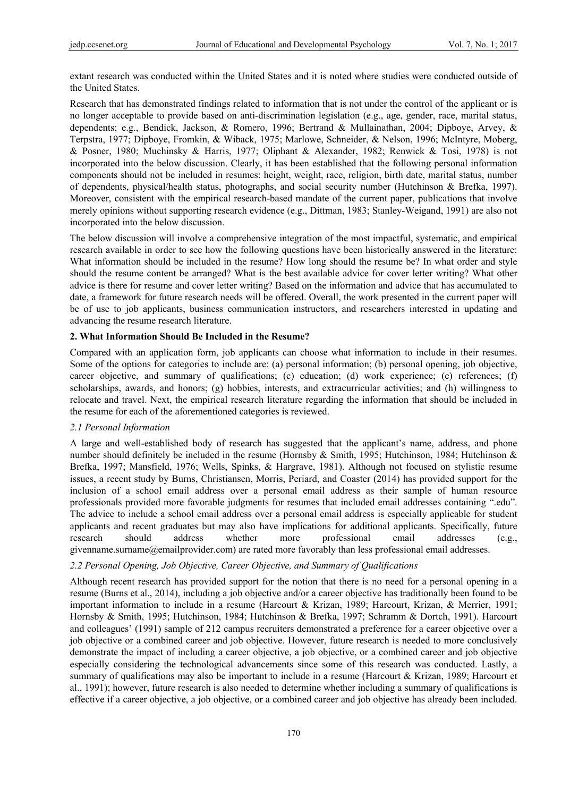extant research was conducted within the United States and it is noted where studies were conducted outside of the United States.

Research that has demonstrated findings related to information that is not under the control of the applicant or is no longer acceptable to provide based on anti-discrimination legislation (e.g., age, gender, race, marital status, dependents; e.g., Bendick, Jackson, & Romero, 1996; Bertrand & Mullainathan, 2004; Dipboye, Arvey, & Terpstra, 1977; Dipboye, Fromkin, & Wiback, 1975; Marlowe, Schneider, & Nelson, 1996; McIntyre, Moberg, & Posner, 1980; Muchinsky & Harris, 1977; Oliphant & Alexander, 1982; Renwick & Tosi, 1978) is not incorporated into the below discussion. Clearly, it has been established that the following personal information components should not be included in resumes: height, weight, race, religion, birth date, marital status, number of dependents, physical/health status, photographs, and social security number (Hutchinson & Brefka, 1997). Moreover, consistent with the empirical research-based mandate of the current paper, publications that involve merely opinions without supporting research evidence (e.g., Dittman, 1983; Stanley-Weigand, 1991) are also not incorporated into the below discussion.

The below discussion will involve a comprehensive integration of the most impactful, systematic, and empirical research available in order to see how the following questions have been historically answered in the literature: What information should be included in the resume? How long should the resume be? In what order and style should the resume content be arranged? What is the best available advice for cover letter writing? What other advice is there for resume and cover letter writing? Based on the information and advice that has accumulated to date, a framework for future research needs will be offered. Overall, the work presented in the current paper will be of use to job applicants, business communication instructors, and researchers interested in updating and advancing the resume research literature.

#### **2. What Information Should Be Included in the Resume?**

Compared with an application form, job applicants can choose what information to include in their resumes. Some of the options for categories to include are: (a) personal information; (b) personal opening, job objective, career objective, and summary of qualifications; (c) education; (d) work experience; (e) references; (f) scholarships, awards, and honors; (g) hobbies, interests, and extracurricular activities; and (h) willingness to relocate and travel. Next, the empirical research literature regarding the information that should be included in the resume for each of the aforementioned categories is reviewed.

#### *2.1 Personal Information*

A large and well-established body of research has suggested that the applicant's name, address, and phone number should definitely be included in the resume (Hornsby & Smith, 1995; Hutchinson, 1984; Hutchinson & Brefka, 1997; Mansfield, 1976; Wells, Spinks, & Hargrave, 1981). Although not focused on stylistic resume issues, a recent study by Burns, Christiansen, Morris, Periard, and Coaster (2014) has provided support for the inclusion of a school email address over a personal email address as their sample of human resource professionals provided more favorable judgments for resumes that included email addresses containing ".edu". The advice to include a school email address over a personal email address is especially applicable for student applicants and recent graduates but may also have implications for additional applicants. Specifically, future research should address whether more professional email addresses (e.g., givenname.surname@emailprovider.com) are rated more favorably than less professional email addresses.

# *2.2 Personal Opening, Job Objective, Career Objective, and Summary of Qualifications*

Although recent research has provided support for the notion that there is no need for a personal opening in a resume (Burns et al., 2014), including a job objective and/or a career objective has traditionally been found to be important information to include in a resume (Harcourt & Krizan, 1989; Harcourt, Krizan, & Merrier, 1991; Hornsby & Smith, 1995; Hutchinson, 1984; Hutchinson & Brefka, 1997; Schramm & Dortch, 1991). Harcourt and colleagues' (1991) sample of 212 campus recruiters demonstrated a preference for a career objective over a job objective or a combined career and job objective. However, future research is needed to more conclusively demonstrate the impact of including a career objective, a job objective, or a combined career and job objective especially considering the technological advancements since some of this research was conducted. Lastly, a summary of qualifications may also be important to include in a resume (Harcourt & Krizan, 1989; Harcourt et al., 1991); however, future research is also needed to determine whether including a summary of qualifications is effective if a career objective, a job objective, or a combined career and job objective has already been included.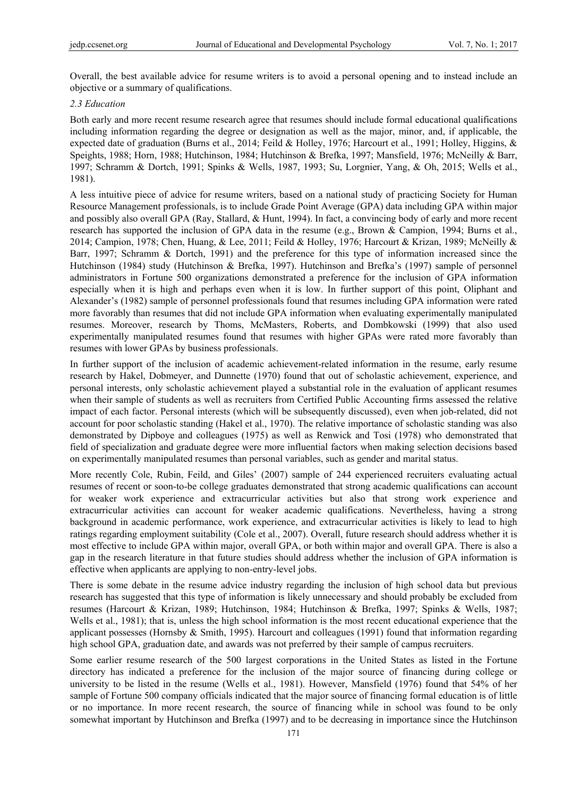Overall, the best available advice for resume writers is to avoid a personal opening and to instead include an objective or a summary of qualifications.

#### *2.3 Education*

Both early and more recent resume research agree that resumes should include formal educational qualifications including information regarding the degree or designation as well as the major, minor, and, if applicable, the expected date of graduation (Burns et al., 2014; Feild & Holley, 1976; Harcourt et al., 1991; Holley, Higgins, & Speights, 1988; Horn, 1988; Hutchinson, 1984; Hutchinson & Brefka, 1997; Mansfield, 1976; McNeilly & Barr, 1997; Schramm & Dortch, 1991; Spinks & Wells, 1987, 1993; Su, Lorgnier, Yang, & Oh, 2015; Wells et al., 1981).

A less intuitive piece of advice for resume writers, based on a national study of practicing Society for Human Resource Management professionals, is to include Grade Point Average (GPA) data including GPA within major and possibly also overall GPA (Ray, Stallard, & Hunt, 1994). In fact, a convincing body of early and more recent research has supported the inclusion of GPA data in the resume (e.g., Brown & Campion, 1994; Burns et al., 2014; Campion, 1978; Chen, Huang, & Lee, 2011; Feild & Holley, 1976; Harcourt & Krizan, 1989; McNeilly & Barr, 1997; Schramm & Dortch, 1991) and the preference for this type of information increased since the Hutchinson (1984) study (Hutchinson & Brefka, 1997). Hutchinson and Brefka's (1997) sample of personnel administrators in Fortune 500 organizations demonstrated a preference for the inclusion of GPA information especially when it is high and perhaps even when it is low. In further support of this point, Oliphant and Alexander's (1982) sample of personnel professionals found that resumes including GPA information were rated more favorably than resumes that did not include GPA information when evaluating experimentally manipulated resumes. Moreover, research by Thoms, McMasters, Roberts, and Dombkowski (1999) that also used experimentally manipulated resumes found that resumes with higher GPAs were rated more favorably than resumes with lower GPAs by business professionals.

In further support of the inclusion of academic achievement-related information in the resume, early resume research by Hakel, Dobmeyer, and Dunnette (1970) found that out of scholastic achievement, experience, and personal interests, only scholastic achievement played a substantial role in the evaluation of applicant resumes when their sample of students as well as recruiters from Certified Public Accounting firms assessed the relative impact of each factor. Personal interests (which will be subsequently discussed), even when job-related, did not account for poor scholastic standing (Hakel et al., 1970). The relative importance of scholastic standing was also demonstrated by Dipboye and colleagues (1975) as well as Renwick and Tosi (1978) who demonstrated that field of specialization and graduate degree were more influential factors when making selection decisions based on experimentally manipulated resumes than personal variables, such as gender and marital status.

More recently Cole, Rubin, Feild, and Giles' (2007) sample of 244 experienced recruiters evaluating actual resumes of recent or soon-to-be college graduates demonstrated that strong academic qualifications can account for weaker work experience and extracurricular activities but also that strong work experience and extracurricular activities can account for weaker academic qualifications. Nevertheless, having a strong background in academic performance, work experience, and extracurricular activities is likely to lead to high ratings regarding employment suitability (Cole et al., 2007). Overall, future research should address whether it is most effective to include GPA within major, overall GPA, or both within major and overall GPA. There is also a gap in the research literature in that future studies should address whether the inclusion of GPA information is effective when applicants are applying to non-entry-level jobs.

There is some debate in the resume advice industry regarding the inclusion of high school data but previous research has suggested that this type of information is likely unnecessary and should probably be excluded from resumes (Harcourt & Krizan, 1989; Hutchinson, 1984; Hutchinson & Brefka, 1997; Spinks & Wells, 1987; Wells et al., 1981); that is, unless the high school information is the most recent educational experience that the applicant possesses (Hornsby & Smith, 1995). Harcourt and colleagues (1991) found that information regarding high school GPA, graduation date, and awards was not preferred by their sample of campus recruiters.

Some earlier resume research of the 500 largest corporations in the United States as listed in the Fortune directory has indicated a preference for the inclusion of the major source of financing during college or university to be listed in the resume (Wells et al., 1981). However, Mansfield (1976) found that 54% of her sample of Fortune 500 company officials indicated that the major source of financing formal education is of little or no importance. In more recent research, the source of financing while in school was found to be only somewhat important by Hutchinson and Brefka (1997) and to be decreasing in importance since the Hutchinson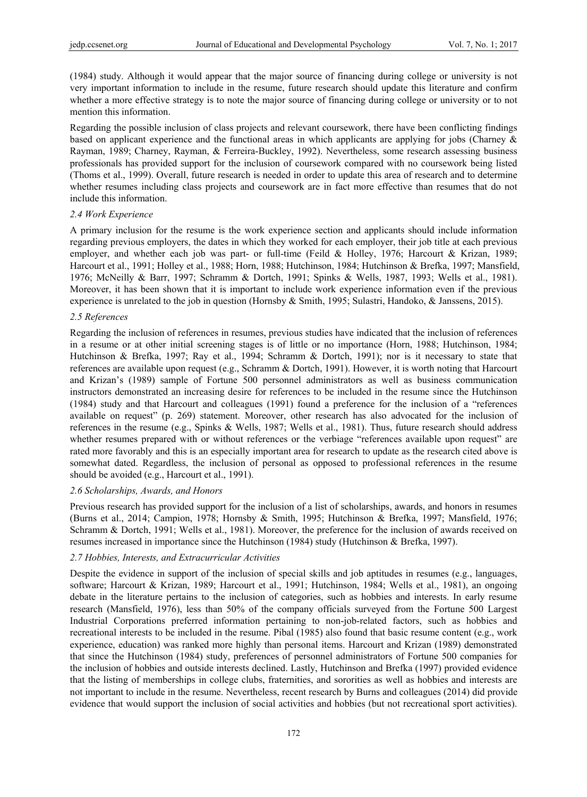(1984) study. Although it would appear that the major source of financing during college or university is not very important information to include in the resume, future research should update this literature and confirm whether a more effective strategy is to note the major source of financing during college or university or to not mention this information.

Regarding the possible inclusion of class projects and relevant coursework, there have been conflicting findings based on applicant experience and the functional areas in which applicants are applying for jobs (Charney & Rayman, 1989; Charney, Rayman, & Ferreira-Buckley, 1992). Nevertheless, some research assessing business professionals has provided support for the inclusion of coursework compared with no coursework being listed (Thoms et al., 1999). Overall, future research is needed in order to update this area of research and to determine whether resumes including class projects and coursework are in fact more effective than resumes that do not include this information.

# *2.4 Work Experience*

A primary inclusion for the resume is the work experience section and applicants should include information regarding previous employers, the dates in which they worked for each employer, their job title at each previous employer, and whether each job was part- or full-time (Feild & Holley, 1976; Harcourt & Krizan, 1989; Harcourt et al., 1991; Holley et al., 1988; Horn, 1988; Hutchinson, 1984; Hutchinson & Brefka, 1997; Mansfield, 1976; McNeilly & Barr, 1997; Schramm & Dortch, 1991; Spinks & Wells, 1987, 1993; Wells et al., 1981). Moreover, it has been shown that it is important to include work experience information even if the previous experience is unrelated to the job in question (Hornsby & Smith, 1995; Sulastri, Handoko, & Janssens, 2015).

#### *2.5 References*

Regarding the inclusion of references in resumes, previous studies have indicated that the inclusion of references in a resume or at other initial screening stages is of little or no importance (Horn, 1988; Hutchinson, 1984; Hutchinson & Brefka, 1997; Ray et al., 1994; Schramm & Dortch, 1991); nor is it necessary to state that references are available upon request (e.g., Schramm & Dortch, 1991). However, it is worth noting that Harcourt and Krizan's (1989) sample of Fortune 500 personnel administrators as well as business communication instructors demonstrated an increasing desire for references to be included in the resume since the Hutchinson (1984) study and that Harcourt and colleagues (1991) found a preference for the inclusion of a "references available on request" (p. 269) statement. Moreover, other research has also advocated for the inclusion of references in the resume (e.g., Spinks & Wells, 1987; Wells et al., 1981). Thus, future research should address whether resumes prepared with or without references or the verbiage "references available upon request" are rated more favorably and this is an especially important area for research to update as the research cited above is somewhat dated. Regardless, the inclusion of personal as opposed to professional references in the resume should be avoided (e.g., Harcourt et al., 1991).

#### *2.6 Scholarships, Awards, and Honors*

Previous research has provided support for the inclusion of a list of scholarships, awards, and honors in resumes (Burns et al., 2014; Campion, 1978; Hornsby & Smith, 1995; Hutchinson & Brefka, 1997; Mansfield, 1976; Schramm & Dortch, 1991; Wells et al., 1981). Moreover, the preference for the inclusion of awards received on resumes increased in importance since the Hutchinson (1984) study (Hutchinson & Brefka, 1997).

# *2.7 Hobbies, Interests, and Extracurricular Activities*

Despite the evidence in support of the inclusion of special skills and job aptitudes in resumes (e.g., languages, software; Harcourt & Krizan, 1989; Harcourt et al., 1991; Hutchinson, 1984; Wells et al., 1981), an ongoing debate in the literature pertains to the inclusion of categories, such as hobbies and interests. In early resume research (Mansfield, 1976), less than 50% of the company officials surveyed from the Fortune 500 Largest Industrial Corporations preferred information pertaining to non-job-related factors, such as hobbies and recreational interests to be included in the resume. Pibal (1985) also found that basic resume content (e.g., work experience, education) was ranked more highly than personal items. Harcourt and Krizan (1989) demonstrated that since the Hutchinson (1984) study, preferences of personnel administrators of Fortune 500 companies for the inclusion of hobbies and outside interests declined. Lastly, Hutchinson and Brefka (1997) provided evidence that the listing of memberships in college clubs, fraternities, and sororities as well as hobbies and interests are not important to include in the resume. Nevertheless, recent research by Burns and colleagues (2014) did provide evidence that would support the inclusion of social activities and hobbies (but not recreational sport activities).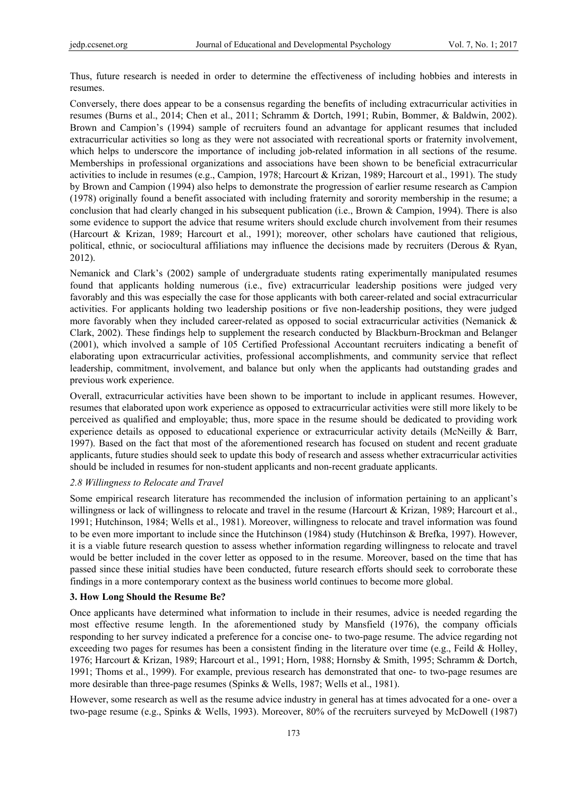Thus, future research is needed in order to determine the effectiveness of including hobbies and interests in resumes.

Conversely, there does appear to be a consensus regarding the benefits of including extracurricular activities in resumes (Burns et al., 2014; Chen et al., 2011; Schramm & Dortch, 1991; Rubin, Bommer, & Baldwin, 2002). Brown and Campion's (1994) sample of recruiters found an advantage for applicant resumes that included extracurricular activities so long as they were not associated with recreational sports or fraternity involvement, which helps to underscore the importance of including job-related information in all sections of the resume. Memberships in professional organizations and associations have been shown to be beneficial extracurricular activities to include in resumes (e.g., Campion, 1978; Harcourt & Krizan, 1989; Harcourt et al., 1991). The study by Brown and Campion (1994) also helps to demonstrate the progression of earlier resume research as Campion (1978) originally found a benefit associated with including fraternity and sorority membership in the resume; a conclusion that had clearly changed in his subsequent publication (i.e., Brown & Campion, 1994). There is also some evidence to support the advice that resume writers should exclude church involvement from their resumes (Harcourt & Krizan, 1989; Harcourt et al., 1991); moreover, other scholars have cautioned that religious, political, ethnic, or sociocultural affiliations may influence the decisions made by recruiters (Derous & Ryan, 2012).

Nemanick and Clark's (2002) sample of undergraduate students rating experimentally manipulated resumes found that applicants holding numerous (i.e., five) extracurricular leadership positions were judged very favorably and this was especially the case for those applicants with both career-related and social extracurricular activities. For applicants holding two leadership positions or five non-leadership positions, they were judged more favorably when they included career-related as opposed to social extracurricular activities (Nemanick & Clark, 2002). These findings help to supplement the research conducted by Blackburn-Brockman and Belanger (2001), which involved a sample of 105 Certified Professional Accountant recruiters indicating a benefit of elaborating upon extracurricular activities, professional accomplishments, and community service that reflect leadership, commitment, involvement, and balance but only when the applicants had outstanding grades and previous work experience.

Overall, extracurricular activities have been shown to be important to include in applicant resumes. However, resumes that elaborated upon work experience as opposed to extracurricular activities were still more likely to be perceived as qualified and employable; thus, more space in the resume should be dedicated to providing work experience details as opposed to educational experience or extracurricular activity details (McNeilly & Barr, 1997). Based on the fact that most of the aforementioned research has focused on student and recent graduate applicants, future studies should seek to update this body of research and assess whether extracurricular activities should be included in resumes for non-student applicants and non-recent graduate applicants.

## *2.8 Willingness to Relocate and Travel*

Some empirical research literature has recommended the inclusion of information pertaining to an applicant's willingness or lack of willingness to relocate and travel in the resume (Harcourt & Krizan, 1989; Harcourt et al., 1991; Hutchinson, 1984; Wells et al., 1981). Moreover, willingness to relocate and travel information was found to be even more important to include since the Hutchinson (1984) study (Hutchinson & Brefka, 1997). However, it is a viable future research question to assess whether information regarding willingness to relocate and travel would be better included in the cover letter as opposed to in the resume. Moreover, based on the time that has passed since these initial studies have been conducted, future research efforts should seek to corroborate these findings in a more contemporary context as the business world continues to become more global.

#### **3. How Long Should the Resume Be?**

Once applicants have determined what information to include in their resumes, advice is needed regarding the most effective resume length. In the aforementioned study by Mansfield (1976), the company officials responding to her survey indicated a preference for a concise one- to two-page resume. The advice regarding not exceeding two pages for resumes has been a consistent finding in the literature over time (e.g., Feild  $\&$  Holley, 1976; Harcourt & Krizan, 1989; Harcourt et al., 1991; Horn, 1988; Hornsby & Smith, 1995; Schramm & Dortch, 1991; Thoms et al., 1999). For example, previous research has demonstrated that one- to two-page resumes are more desirable than three-page resumes (Spinks & Wells, 1987; Wells et al., 1981).

However, some research as well as the resume advice industry in general has at times advocated for a one- over a two-page resume (e.g., Spinks & Wells, 1993). Moreover, 80% of the recruiters surveyed by McDowell (1987)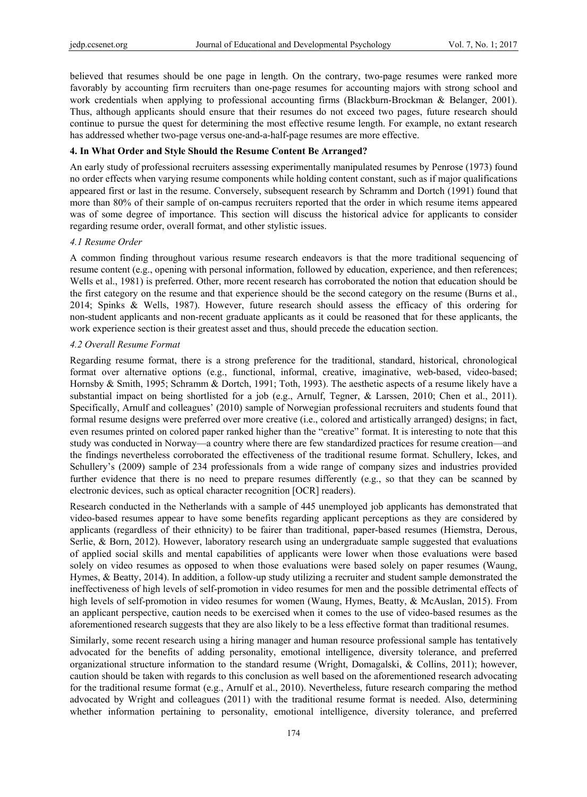believed that resumes should be one page in length. On the contrary, two-page resumes were ranked more favorably by accounting firm recruiters than one-page resumes for accounting majors with strong school and work credentials when applying to professional accounting firms (Blackburn-Brockman & Belanger, 2001). Thus, although applicants should ensure that their resumes do not exceed two pages, future research should continue to pursue the quest for determining the most effective resume length. For example, no extant research has addressed whether two-page versus one-and-a-half-page resumes are more effective.

#### **4. In What Order and Style Should the Resume Content Be Arranged?**

An early study of professional recruiters assessing experimentally manipulated resumes by Penrose (1973) found no order effects when varying resume components while holding content constant, such as if major qualifications appeared first or last in the resume. Conversely, subsequent research by Schramm and Dortch (1991) found that more than 80% of their sample of on-campus recruiters reported that the order in which resume items appeared was of some degree of importance. This section will discuss the historical advice for applicants to consider regarding resume order, overall format, and other stylistic issues.

#### *4.1 Resume Order*

A common finding throughout various resume research endeavors is that the more traditional sequencing of resume content (e.g., opening with personal information, followed by education, experience, and then references; Wells et al., 1981) is preferred. Other, more recent research has corroborated the notion that education should be the first category on the resume and that experience should be the second category on the resume (Burns et al., 2014; Spinks & Wells, 1987). However, future research should assess the efficacy of this ordering for non-student applicants and non-recent graduate applicants as it could be reasoned that for these applicants, the work experience section is their greatest asset and thus, should precede the education section.

#### *4.2 Overall Resume Format*

Regarding resume format, there is a strong preference for the traditional, standard, historical, chronological format over alternative options (e.g., functional, informal, creative, imaginative, web-based, video-based; Hornsby & Smith, 1995; Schramm & Dortch, 1991; Toth, 1993). The aesthetic aspects of a resume likely have a substantial impact on being shortlisted for a job (e.g., Arnulf, Tegner, & Larssen, 2010; Chen et al., 2011). Specifically, Arnulf and colleagues' (2010) sample of Norwegian professional recruiters and students found that formal resume designs were preferred over more creative (i.e., colored and artistically arranged) designs; in fact, even resumes printed on colored paper ranked higher than the "creative" format. It is interesting to note that this study was conducted in Norway—a country where there are few standardized practices for resume creation—and the findings nevertheless corroborated the effectiveness of the traditional resume format. Schullery, Ickes, and Schullery's (2009) sample of 234 professionals from a wide range of company sizes and industries provided further evidence that there is no need to prepare resumes differently (e.g., so that they can be scanned by electronic devices, such as optical character recognition [OCR] readers).

Research conducted in the Netherlands with a sample of 445 unemployed job applicants has demonstrated that video-based resumes appear to have some benefits regarding applicant perceptions as they are considered by applicants (regardless of their ethnicity) to be fairer than traditional, paper-based resumes (Hiemstra, Derous, Serlie, & Born, 2012). However, laboratory research using an undergraduate sample suggested that evaluations of applied social skills and mental capabilities of applicants were lower when those evaluations were based solely on video resumes as opposed to when those evaluations were based solely on paper resumes (Waung, Hymes, & Beatty, 2014). In addition, a follow-up study utilizing a recruiter and student sample demonstrated the ineffectiveness of high levels of self-promotion in video resumes for men and the possible detrimental effects of high levels of self-promotion in video resumes for women (Waung, Hymes, Beatty, & McAuslan, 2015). From an applicant perspective, caution needs to be exercised when it comes to the use of video-based resumes as the aforementioned research suggests that they are also likely to be a less effective format than traditional resumes.

Similarly, some recent research using a hiring manager and human resource professional sample has tentatively advocated for the benefits of adding personality, emotional intelligence, diversity tolerance, and preferred organizational structure information to the standard resume (Wright, Domagalski, & Collins, 2011); however, caution should be taken with regards to this conclusion as well based on the aforementioned research advocating for the traditional resume format (e.g., Arnulf et al., 2010). Nevertheless, future research comparing the method advocated by Wright and colleagues (2011) with the traditional resume format is needed. Also, determining whether information pertaining to personality, emotional intelligence, diversity tolerance, and preferred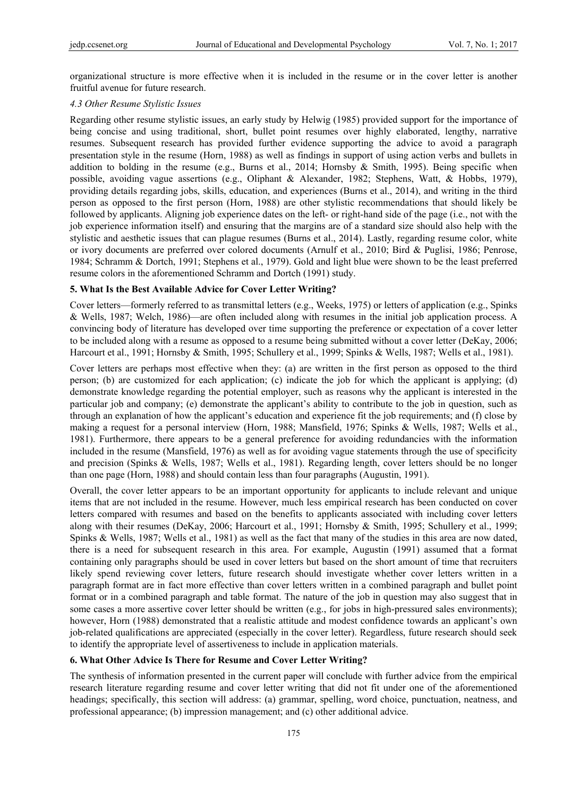organizational structure is more effective when it is included in the resume or in the cover letter is another fruitful avenue for future research.

#### *4.3 Other Resume Stylistic Issues*

Regarding other resume stylistic issues, an early study by Helwig (1985) provided support for the importance of being concise and using traditional, short, bullet point resumes over highly elaborated, lengthy, narrative resumes. Subsequent research has provided further evidence supporting the advice to avoid a paragraph presentation style in the resume (Horn, 1988) as well as findings in support of using action verbs and bullets in addition to bolding in the resume (e.g., Burns et al., 2014; Hornsby  $\&$  Smith, 1995). Being specific when possible, avoiding vague assertions (e.g., Oliphant & Alexander, 1982; Stephens, Watt, & Hobbs, 1979), providing details regarding jobs, skills, education, and experiences (Burns et al., 2014), and writing in the third person as opposed to the first person (Horn, 1988) are other stylistic recommendations that should likely be followed by applicants. Aligning job experience dates on the left- or right-hand side of the page (i.e., not with the job experience information itself) and ensuring that the margins are of a standard size should also help with the stylistic and aesthetic issues that can plague resumes (Burns et al., 2014). Lastly, regarding resume color, white or ivory documents are preferred over colored documents (Arnulf et al., 2010; Bird & Puglisi, 1986; Penrose, 1984; Schramm & Dortch, 1991; Stephens et al., 1979). Gold and light blue were shown to be the least preferred resume colors in the aforementioned Schramm and Dortch (1991) study.

#### **5. What Is the Best Available Advice for Cover Letter Writing?**

Cover letters—formerly referred to as transmittal letters (e.g., Weeks, 1975) or letters of application (e.g., Spinks & Wells, 1987; Welch, 1986)—are often included along with resumes in the initial job application process. A convincing body of literature has developed over time supporting the preference or expectation of a cover letter to be included along with a resume as opposed to a resume being submitted without a cover letter (DeKay, 2006; Harcourt et al., 1991; Hornsby & Smith, 1995; Schullery et al., 1999; Spinks & Wells, 1987; Wells et al., 1981).

Cover letters are perhaps most effective when they: (a) are written in the first person as opposed to the third person; (b) are customized for each application; (c) indicate the job for which the applicant is applying; (d) demonstrate knowledge regarding the potential employer, such as reasons why the applicant is interested in the particular job and company; (e) demonstrate the applicant's ability to contribute to the job in question, such as through an explanation of how the applicant's education and experience fit the job requirements; and (f) close by making a request for a personal interview (Horn, 1988; Mansfield, 1976; Spinks & Wells, 1987; Wells et al., 1981). Furthermore, there appears to be a general preference for avoiding redundancies with the information included in the resume (Mansfield, 1976) as well as for avoiding vague statements through the use of specificity and precision (Spinks & Wells, 1987; Wells et al., 1981). Regarding length, cover letters should be no longer than one page (Horn, 1988) and should contain less than four paragraphs (Augustin, 1991).

Overall, the cover letter appears to be an important opportunity for applicants to include relevant and unique items that are not included in the resume. However, much less empirical research has been conducted on cover letters compared with resumes and based on the benefits to applicants associated with including cover letters along with their resumes (DeKay, 2006; Harcourt et al., 1991; Hornsby & Smith, 1995; Schullery et al., 1999; Spinks & Wells, 1987; Wells et al., 1981) as well as the fact that many of the studies in this area are now dated, there is a need for subsequent research in this area. For example, Augustin (1991) assumed that a format containing only paragraphs should be used in cover letters but based on the short amount of time that recruiters likely spend reviewing cover letters, future research should investigate whether cover letters written in a paragraph format are in fact more effective than cover letters written in a combined paragraph and bullet point format or in a combined paragraph and table format. The nature of the job in question may also suggest that in some cases a more assertive cover letter should be written (e.g., for jobs in high-pressured sales environments); however, Horn (1988) demonstrated that a realistic attitude and modest confidence towards an applicant's own job-related qualifications are appreciated (especially in the cover letter). Regardless, future research should seek to identify the appropriate level of assertiveness to include in application materials.

# **6. What Other Advice Is There for Resume and Cover Letter Writing?**

The synthesis of information presented in the current paper will conclude with further advice from the empirical research literature regarding resume and cover letter writing that did not fit under one of the aforementioned headings; specifically, this section will address: (a) grammar, spelling, word choice, punctuation, neatness, and professional appearance; (b) impression management; and (c) other additional advice.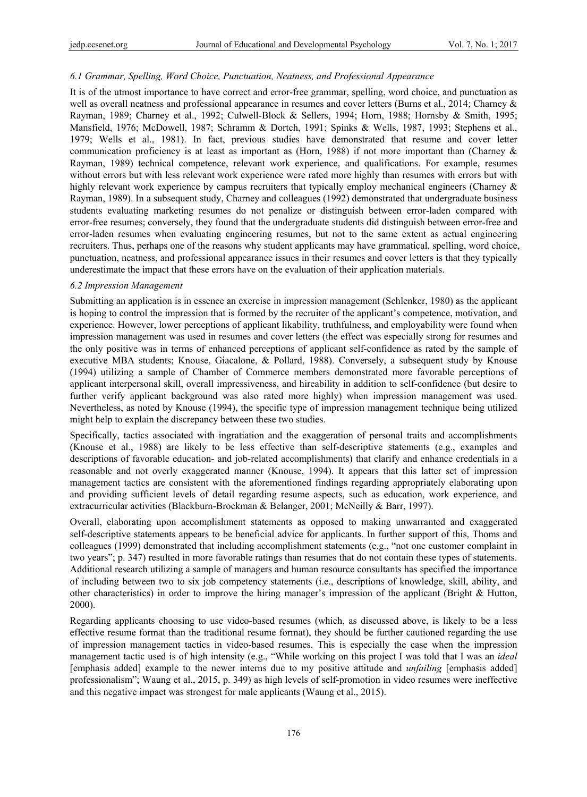#### *6.1 Grammar, Spelling, Word Choice, Punctuation, Neatness, and Professional Appearance*

It is of the utmost importance to have correct and error-free grammar, spelling, word choice, and punctuation as well as overall neatness and professional appearance in resumes and cover letters (Burns et al., 2014; Charney & Rayman, 1989; Charney et al., 1992; Culwell-Block & Sellers, 1994; Horn, 1988; Hornsby & Smith, 1995; Mansfield, 1976; McDowell, 1987; Schramm & Dortch, 1991; Spinks & Wells, 1987, 1993; Stephens et al., 1979; Wells et al., 1981). In fact, previous studies have demonstrated that resume and cover letter communication proficiency is at least as important as (Horn, 1988) if not more important than (Charney  $\&$ Rayman, 1989) technical competence, relevant work experience, and qualifications. For example, resumes without errors but with less relevant work experience were rated more highly than resumes with errors but with highly relevant work experience by campus recruiters that typically employ mechanical engineers (Charney & Rayman, 1989). In a subsequent study, Charney and colleagues (1992) demonstrated that undergraduate business students evaluating marketing resumes do not penalize or distinguish between error-laden compared with error-free resumes; conversely, they found that the undergraduate students did distinguish between error-free and error-laden resumes when evaluating engineering resumes, but not to the same extent as actual engineering recruiters. Thus, perhaps one of the reasons why student applicants may have grammatical, spelling, word choice, punctuation, neatness, and professional appearance issues in their resumes and cover letters is that they typically underestimate the impact that these errors have on the evaluation of their application materials.

#### *6.2 Impression Management*

Submitting an application is in essence an exercise in impression management (Schlenker, 1980) as the applicant is hoping to control the impression that is formed by the recruiter of the applicant's competence, motivation, and experience. However, lower perceptions of applicant likability, truthfulness, and employability were found when impression management was used in resumes and cover letters (the effect was especially strong for resumes and the only positive was in terms of enhanced perceptions of applicant self-confidence as rated by the sample of executive MBA students; Knouse, Giacalone, & Pollard, 1988). Conversely, a subsequent study by Knouse (1994) utilizing a sample of Chamber of Commerce members demonstrated more favorable perceptions of applicant interpersonal skill, overall impressiveness, and hireability in addition to self-confidence (but desire to further verify applicant background was also rated more highly) when impression management was used. Nevertheless, as noted by Knouse (1994), the specific type of impression management technique being utilized might help to explain the discrepancy between these two studies.

Specifically, tactics associated with ingratiation and the exaggeration of personal traits and accomplishments (Knouse et al., 1988) are likely to be less effective than self-descriptive statements (e.g., examples and descriptions of favorable education- and job-related accomplishments) that clarify and enhance credentials in a reasonable and not overly exaggerated manner (Knouse, 1994). It appears that this latter set of impression management tactics are consistent with the aforementioned findings regarding appropriately elaborating upon and providing sufficient levels of detail regarding resume aspects, such as education, work experience, and extracurricular activities (Blackburn-Brockman & Belanger, 2001; McNeilly & Barr, 1997).

Overall, elaborating upon accomplishment statements as opposed to making unwarranted and exaggerated self-descriptive statements appears to be beneficial advice for applicants. In further support of this, Thoms and colleagues (1999) demonstrated that including accomplishment statements (e.g., "not one customer complaint in two years"; p. 347) resulted in more favorable ratings than resumes that do not contain these types of statements. Additional research utilizing a sample of managers and human resource consultants has specified the importance of including between two to six job competency statements (i.e., descriptions of knowledge, skill, ability, and other characteristics) in order to improve the hiring manager's impression of the applicant (Bright & Hutton, 2000).

Regarding applicants choosing to use video-based resumes (which, as discussed above, is likely to be a less effective resume format than the traditional resume format), they should be further cautioned regarding the use of impression management tactics in video-based resumes. This is especially the case when the impression management tactic used is of high intensity (e.g., "While working on this project I was told that I was an *ideal* [emphasis added] example to the newer interns due to my positive attitude and *unfailing* [emphasis added] professionalism"; Waung et al., 2015, p. 349) as high levels of self-promotion in video resumes were ineffective and this negative impact was strongest for male applicants (Waung et al., 2015).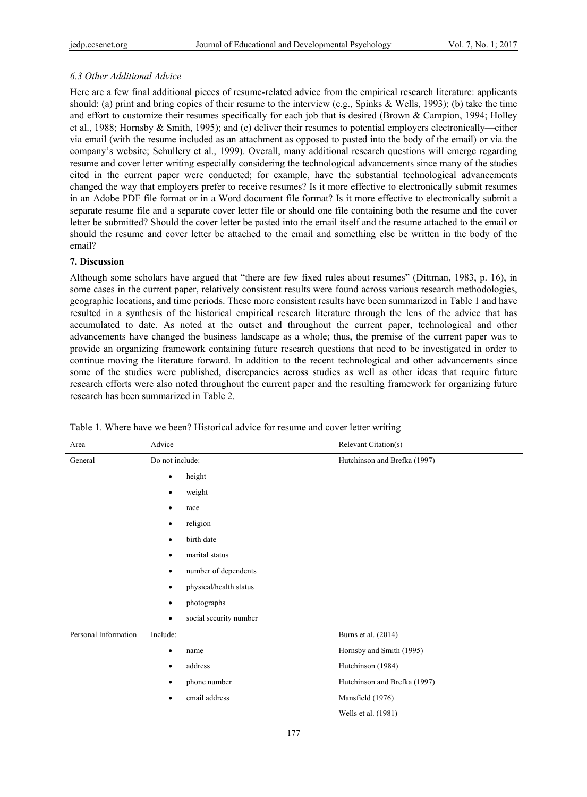# *6.3 Other Additional Advice*

Here are a few final additional pieces of resume-related advice from the empirical research literature: applicants should: (a) print and bring copies of their resume to the interview (e.g., Spinks & Wells, 1993); (b) take the time and effort to customize their resumes specifically for each job that is desired (Brown & Campion, 1994; Holley et al., 1988; Hornsby & Smith, 1995); and (c) deliver their resumes to potential employers electronically—either via email (with the resume included as an attachment as opposed to pasted into the body of the email) or via the company's website; Schullery et al., 1999). Overall, many additional research questions will emerge regarding resume and cover letter writing especially considering the technological advancements since many of the studies cited in the current paper were conducted; for example, have the substantial technological advancements changed the way that employers prefer to receive resumes? Is it more effective to electronically submit resumes in an Adobe PDF file format or in a Word document file format? Is it more effective to electronically submit a separate resume file and a separate cover letter file or should one file containing both the resume and the cover letter be submitted? Should the cover letter be pasted into the email itself and the resume attached to the email or should the resume and cover letter be attached to the email and something else be written in the body of the email?

#### **7. Discussion**

Although some scholars have argued that "there are few fixed rules about resumes" (Dittman, 1983, p. 16), in some cases in the current paper, relatively consistent results were found across various research methodologies, geographic locations, and time periods. These more consistent results have been summarized in Table 1 and have resulted in a synthesis of the historical empirical research literature through the lens of the advice that has accumulated to date. As noted at the outset and throughout the current paper, technological and other advancements have changed the business landscape as a whole; thus, the premise of the current paper was to provide an organizing framework containing future research questions that need to be investigated in order to continue moving the literature forward. In addition to the recent technological and other advancements since some of the studies were published, discrepancies across studies as well as other ideas that require future research efforts were also noted throughout the current paper and the resulting framework for organizing future research has been summarized in Table 2.

| Area                 | Advice          |                        | Relevant Citation(s)         |
|----------------------|-----------------|------------------------|------------------------------|
| General              | Do not include: |                        | Hutchinson and Brefka (1997) |
|                      | $\bullet$       | height                 |                              |
|                      | $\bullet$       | weight                 |                              |
|                      | ٠               | race                   |                              |
|                      | $\bullet$       | religion               |                              |
|                      | ٠               | birth date             |                              |
|                      | ٠               | marital status         |                              |
|                      | $\bullet$       | number of dependents   |                              |
|                      | $\bullet$       | physical/health status |                              |
|                      | $\bullet$       | photographs            |                              |
|                      | ٠               | social security number |                              |
| Personal Information | Include:        |                        | Burns et al. (2014)          |
|                      | $\bullet$       | name                   | Hornsby and Smith (1995)     |
|                      | ٠               | address                | Hutchinson (1984)            |
|                      | $\bullet$       | phone number           | Hutchinson and Brefka (1997) |
|                      | ٠               | email address          | Mansfield (1976)             |
|                      |                 |                        | Wells et al. (1981)          |

Table 1. Where have we been? Historical advice for resume and cover letter writing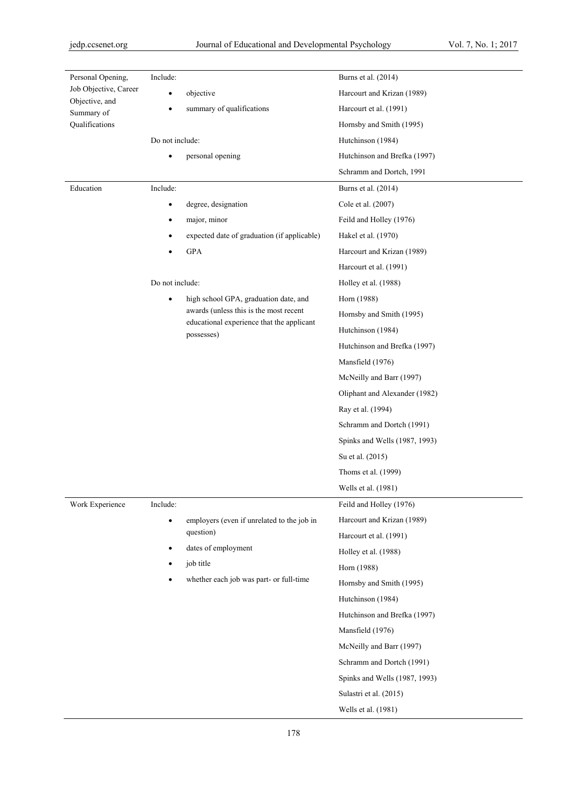| Personal Opening,            | Include:        |                                                                                                   | Burns et al. (2014)           |
|------------------------------|-----------------|---------------------------------------------------------------------------------------------------|-------------------------------|
| Job Objective, Career        | $\bullet$       | objective                                                                                         | Harcourt and Krizan (1989)    |
| Objective, and<br>Summary of |                 | summary of qualifications                                                                         | Harcourt et al. (1991)        |
| Qualifications               |                 |                                                                                                   | Hornsby and Smith (1995)      |
|                              | Do not include: |                                                                                                   | Hutchinson (1984)             |
|                              |                 | personal opening                                                                                  | Hutchinson and Brefka (1997)  |
|                              |                 |                                                                                                   | Schramm and Dortch, 1991      |
| Education                    | Include:        |                                                                                                   | Burns et al. (2014)           |
|                              | $\bullet$       | degree, designation                                                                               | Cole et al. (2007)            |
|                              | $\bullet$       | major, minor                                                                                      | Feild and Holley (1976)       |
|                              | ٠               | expected date of graduation (if applicable)                                                       | Hakel et al. (1970)           |
|                              |                 | GPA                                                                                               | Harcourt and Krizan (1989)    |
|                              |                 |                                                                                                   | Harcourt et al. (1991)        |
|                              | Do not include: |                                                                                                   | Holley et al. (1988)          |
|                              | $\bullet$       | high school GPA, graduation date, and                                                             | Horn (1988)                   |
|                              |                 | awards (unless this is the most recent<br>educational experience that the applicant<br>possesses) | Hornsby and Smith (1995)      |
|                              |                 |                                                                                                   | Hutchinson (1984)             |
|                              |                 |                                                                                                   | Hutchinson and Brefka (1997)  |
|                              |                 |                                                                                                   | Mansfield (1976)              |
|                              |                 |                                                                                                   | McNeilly and Barr (1997)      |
|                              |                 |                                                                                                   | Oliphant and Alexander (1982) |
|                              |                 |                                                                                                   | Ray et al. (1994)             |
|                              |                 |                                                                                                   | Schramm and Dortch (1991)     |
|                              |                 |                                                                                                   | Spinks and Wells (1987, 1993) |
|                              |                 |                                                                                                   | Su et al. (2015)              |
|                              |                 |                                                                                                   | Thoms et al. (1999)           |
|                              |                 |                                                                                                   | Wells et al. (1981)           |
| Work Experience              | Include:        |                                                                                                   | Feild and Holley (1976)       |
|                              | $\bullet$       | employers (even if unrelated to the job in                                                        | Harcourt and Krizan (1989)    |
|                              |                 | question)                                                                                         | Harcourt et al. (1991)        |
|                              | $\bullet$       | dates of employment                                                                               | Holley et al. (1988)          |
|                              | ٠               | job title                                                                                         | Horn (1988)                   |
|                              |                 | whether each job was part- or full-time                                                           | Hornsby and Smith (1995)      |
|                              |                 |                                                                                                   | Hutchinson (1984)             |
|                              |                 |                                                                                                   | Hutchinson and Brefka (1997)  |
|                              |                 |                                                                                                   | Mansfield (1976)              |
|                              |                 |                                                                                                   | McNeilly and Barr (1997)      |
|                              |                 |                                                                                                   | Schramm and Dortch (1991)     |
|                              |                 |                                                                                                   | Spinks and Wells (1987, 1993) |
|                              |                 |                                                                                                   | Sulastri et al. (2015)        |
|                              |                 |                                                                                                   | Wells et al. (1981)           |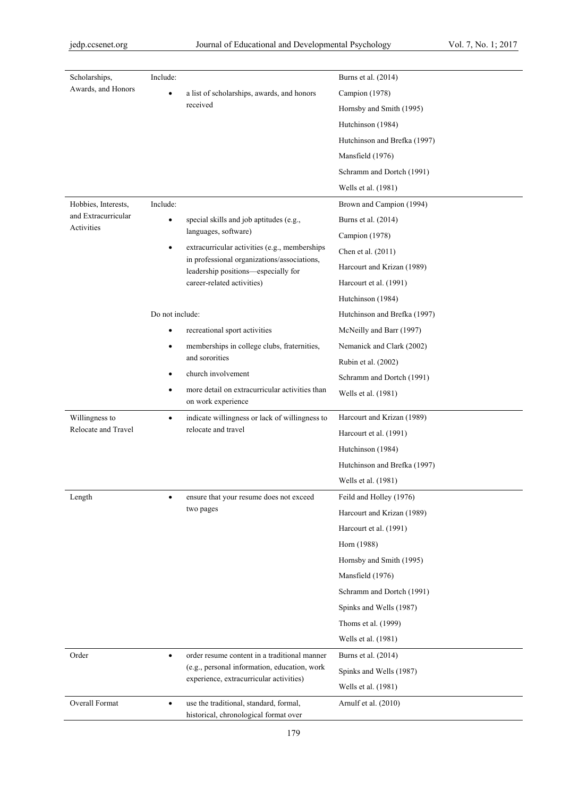l,

| Scholarships,<br>Awards, and Honors | Include:               |                                                                                                                                                                   | Burns et al. (2014)          |
|-------------------------------------|------------------------|-------------------------------------------------------------------------------------------------------------------------------------------------------------------|------------------------------|
|                                     | $\bullet$              | a list of scholarships, awards, and honors<br>received                                                                                                            | Campion (1978)               |
|                                     |                        |                                                                                                                                                                   | Hornsby and Smith (1995)     |
|                                     |                        |                                                                                                                                                                   | Hutchinson (1984)            |
|                                     |                        |                                                                                                                                                                   | Hutchinson and Brefka (1997) |
|                                     |                        |                                                                                                                                                                   | Mansfield (1976)             |
|                                     |                        |                                                                                                                                                                   | Schramm and Dortch (1991)    |
|                                     |                        |                                                                                                                                                                   | Wells et al. (1981)          |
| Hobbies, Interests,                 | Include:               |                                                                                                                                                                   | Brown and Campion (1994)     |
| and Extracurricular<br>Activities   | $\bullet$              | special skills and job aptitudes (e.g.,<br>languages, software)                                                                                                   | Burns et al. (2014)          |
|                                     |                        |                                                                                                                                                                   | Campion (1978)               |
|                                     | $\bullet$              | extracurricular activities (e.g., memberships<br>in professional organizations/associations,<br>leadership positions-especially for<br>career-related activities) | Chen et al. (2011)           |
|                                     |                        |                                                                                                                                                                   | Harcourt and Krizan (1989)   |
|                                     |                        |                                                                                                                                                                   | Harcourt et al. (1991)       |
|                                     |                        |                                                                                                                                                                   | Hutchinson (1984)            |
|                                     | Do not include:        |                                                                                                                                                                   | Hutchinson and Brefka (1997) |
|                                     | ٠                      | recreational sport activities<br>memberships in college clubs, fraternities,<br>and sororities                                                                    | McNeilly and Barr (1997)     |
|                                     | $\bullet$              |                                                                                                                                                                   | Nemanick and Clark (2002)    |
|                                     | $\bullet$<br>$\bullet$ |                                                                                                                                                                   | Rubin et al. (2002)          |
|                                     |                        | church involvement                                                                                                                                                | Schramm and Dortch (1991)    |
|                                     |                        | more detail on extracurricular activities than<br>on work experience                                                                                              | Wells et al. (1981)          |
| Willingness to                      | $\bullet$              | indicate willingness or lack of willingness to                                                                                                                    | Harcourt and Krizan (1989)   |
| Relocate and Travel                 |                        | relocate and travel                                                                                                                                               | Harcourt et al. (1991)       |
|                                     |                        |                                                                                                                                                                   | Hutchinson (1984)            |
|                                     |                        |                                                                                                                                                                   | Hutchinson and Brefka (1997) |
|                                     |                        |                                                                                                                                                                   | Wells et al. (1981)          |
| Length                              | $\bullet$              | ensure that your resume does not exceed                                                                                                                           | Feild and Holley (1976)      |
|                                     |                        | two pages                                                                                                                                                         | Harcourt and Krizan (1989)   |
|                                     |                        |                                                                                                                                                                   | Harcourt et al. (1991)       |
|                                     |                        |                                                                                                                                                                   | Horn (1988)                  |
|                                     |                        |                                                                                                                                                                   | Hornsby and Smith (1995)     |
|                                     |                        |                                                                                                                                                                   | Mansfield (1976)             |
|                                     |                        |                                                                                                                                                                   | Schramm and Dortch (1991)    |
|                                     |                        |                                                                                                                                                                   | Spinks and Wells (1987)      |
|                                     |                        |                                                                                                                                                                   | Thoms et al. (1999)          |
|                                     |                        |                                                                                                                                                                   | Wells et al. (1981)          |
| Order                               | $\bullet$              | order resume content in a traditional manner                                                                                                                      | Burns et al. (2014)          |
|                                     |                        | (e.g., personal information, education, work                                                                                                                      | Spinks and Wells (1987)      |
|                                     |                        | experience, extracurricular activities)                                                                                                                           | Wells et al. (1981)          |
| Overall Format                      | $\bullet$              | use the traditional, standard, formal,                                                                                                                            | Arnulf et al. (2010)         |
|                                     |                        | historical, chronological format over                                                                                                                             |                              |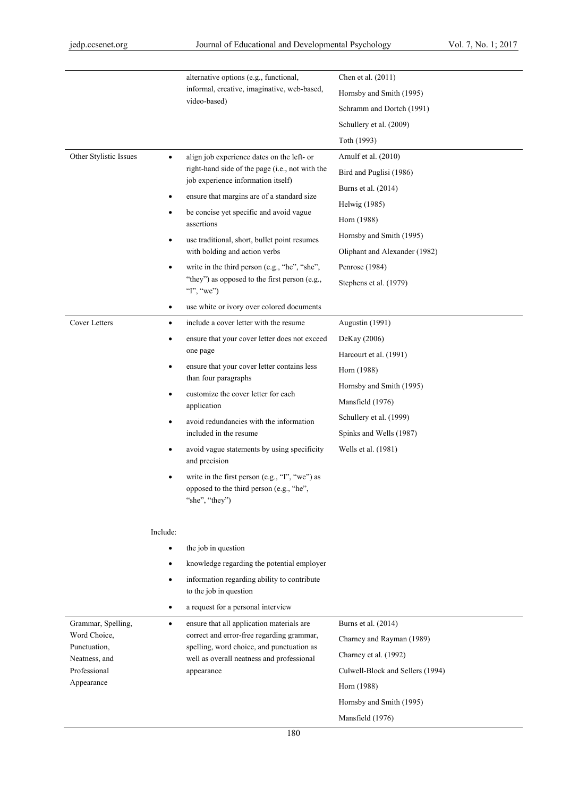|                                               |           | alternative options (e.g., functional,                                                                       | Chen et al. (2011)               |
|-----------------------------------------------|-----------|--------------------------------------------------------------------------------------------------------------|----------------------------------|
|                                               |           | informal, creative, imaginative, web-based,<br>video-based)                                                  | Hornsby and Smith (1995)         |
|                                               |           |                                                                                                              | Schramm and Dortch (1991)        |
|                                               |           |                                                                                                              | Schullery et al. (2009)          |
|                                               |           |                                                                                                              | Toth (1993)                      |
| Other Stylistic Issues                        | $\bullet$ | align job experience dates on the left- or                                                                   | Arnulf et al. (2010)             |
|                                               |           | right-hand side of the page (i.e., not with the<br>job experience information itself)                        | Bird and Puglisi (1986)          |
|                                               |           |                                                                                                              | Burns et al. (2014)              |
|                                               | $\bullet$ | ensure that margins are of a standard size<br>be concise yet specific and avoid vague                        | Helwig (1985)                    |
|                                               | $\bullet$ | assertions                                                                                                   | Horn (1988)                      |
|                                               | ٠         | use traditional, short, bullet point resumes                                                                 | Hornsby and Smith (1995)         |
|                                               |           | with bolding and action verbs                                                                                | Oliphant and Alexander (1982)    |
|                                               | $\bullet$ | write in the third person (e.g., "he", "she",                                                                | Penrose (1984)                   |
|                                               |           | "they") as opposed to the first person (e.g.,<br>"I", "we")                                                  | Stephens et al. (1979)           |
|                                               | $\bullet$ | use white or ivory over colored documents                                                                    |                                  |
| Cover Letters                                 | $\bullet$ | include a cover letter with the resume                                                                       | Augustin (1991)                  |
|                                               | ٠         | ensure that your cover letter does not exceed                                                                | DeKay (2006)                     |
|                                               |           | one page                                                                                                     | Harcourt et al. (1991)           |
|                                               | $\bullet$ | ensure that your cover letter contains less<br>than four paragraphs                                          | Horn (1988)                      |
|                                               | ٠         | customize the cover letter for each                                                                          | Hornsby and Smith (1995)         |
|                                               |           | application                                                                                                  | Mansfield (1976)                 |
|                                               | $\bullet$ | avoid redundancies with the information<br>included in the resume                                            | Schullery et al. (1999)          |
|                                               |           |                                                                                                              | Spinks and Wells (1987)          |
|                                               | $\bullet$ | avoid vague statements by using specificity<br>and precision                                                 | Wells et al. (1981)              |
|                                               | ٠         | write in the first person (e.g., "I", "we") as<br>opposed to the third person (e.g., "he",<br>"she", "they") |                                  |
|                                               | Include:  |                                                                                                              |                                  |
|                                               | ٠         | the job in question                                                                                          |                                  |
|                                               | $\bullet$ | knowledge regarding the potential employer                                                                   |                                  |
|                                               | $\bullet$ | information regarding ability to contribute<br>to the job in question                                        |                                  |
|                                               | $\bullet$ | a request for a personal interview                                                                           |                                  |
| Grammar, Spelling,                            | $\bullet$ | ensure that all application materials are                                                                    | Burns et al. (2014)              |
| Word Choice,<br>Punctuation,<br>Neatness, and |           | correct and error-free regarding grammar,                                                                    | Charney and Rayman (1989)        |
|                                               |           | spelling, word choice, and punctuation as<br>well as overall neatness and professional                       | Charney et al. (1992)            |
| Professional                                  |           | appearance                                                                                                   | Culwell-Block and Sellers (1994) |
| Appearance                                    |           |                                                                                                              | Horn (1988)                      |
|                                               |           |                                                                                                              | Hornsby and Smith (1995)         |
|                                               |           |                                                                                                              | Mansfield (1976)                 |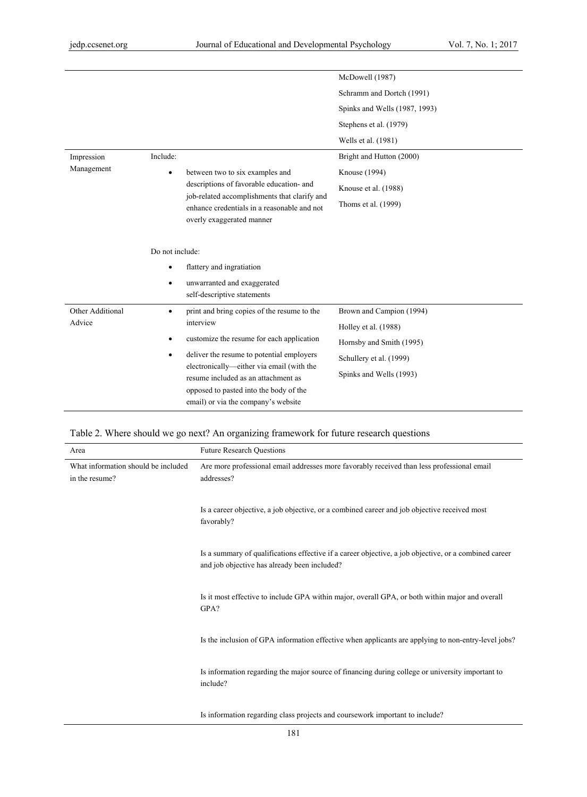|                  |                                                                                             | McDowell (1987)               |
|------------------|---------------------------------------------------------------------------------------------|-------------------------------|
|                  |                                                                                             | Schramm and Dortch (1991)     |
|                  |                                                                                             | Spinks and Wells (1987, 1993) |
|                  |                                                                                             | Stephens et al. (1979)        |
|                  |                                                                                             | Wells et al. (1981)           |
| Impression       | Include:                                                                                    | Bright and Hutton (2000)      |
| Management       | between two to six examples and<br>٠                                                        | Knouse (1994)                 |
|                  | descriptions of favorable education- and                                                    | Knouse et al. (1988)          |
|                  | job-related accomplishments that clarify and<br>enhance credentials in a reasonable and not | Thoms et al. (1999)           |
|                  | overly exaggerated manner                                                                   |                               |
|                  |                                                                                             |                               |
|                  | Do not include:                                                                             |                               |
|                  | flattery and ingratiation                                                                   |                               |
|                  | unwarranted and exaggerated                                                                 |                               |
|                  | self-descriptive statements                                                                 |                               |
| Other Additional | print and bring copies of the resume to the<br>$\bullet$                                    | Brown and Campion (1994)      |
| Advice           | interview                                                                                   | Holley et al. (1988)          |
|                  | customize the resume for each application<br>$\bullet$                                      | Hornsby and Smith (1995)      |
|                  | deliver the resume to potential employers<br>٠<br>electronically-either via email (with the | Schullery et al. (1999)       |
|                  | resume included as an attachment as                                                         | Spinks and Wells (1993)       |
|                  | opposed to pasted into the body of the                                                      |                               |
|                  | email) or via the company's website                                                         |                               |

# Table 2. Where should we go next? An organizing framework for future research questions

| Area                                                  | <b>Future Research Ouestions</b>                                                                                                                      |
|-------------------------------------------------------|-------------------------------------------------------------------------------------------------------------------------------------------------------|
| What information should be included<br>in the resume? | Are more professional email addresses more favorably received than less professional email<br>addresses?                                              |
|                                                       | Is a career objective, a job objective, or a combined career and job objective received most<br>favorably?                                            |
|                                                       | Is a summary of qualifications effective if a career objective, a job objective, or a combined career<br>and job objective has already been included? |
|                                                       | Is it most effective to include GPA within major, overall GPA, or both within major and overall<br>GPA?                                               |
|                                                       | Is the inclusion of GPA information effective when applicants are applying to non-entry-level jobs?                                                   |
|                                                       | Is information regarding the major source of financing during college or university important to<br>include?                                          |
|                                                       | Is information regarding class projects and coursework important to include?                                                                          |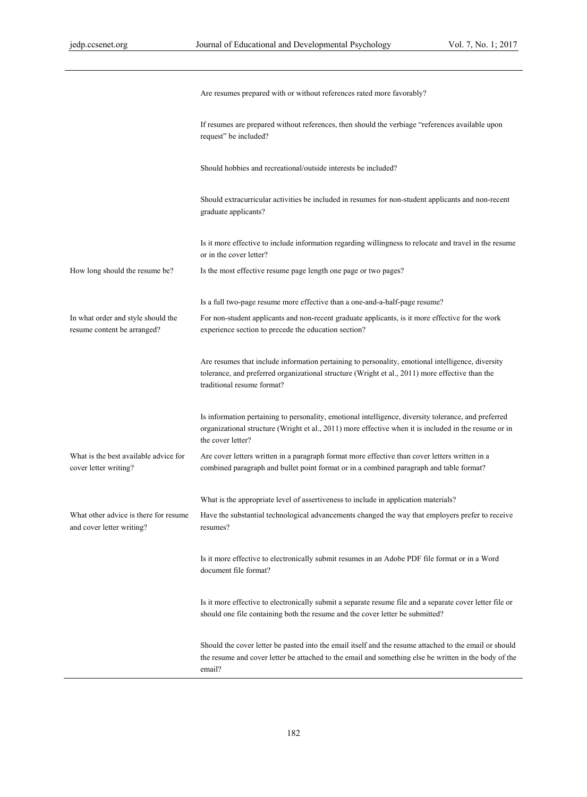|                                                                     | Are resumes prepared with or without references rated more favorably?                                                                                                                                                              |
|---------------------------------------------------------------------|------------------------------------------------------------------------------------------------------------------------------------------------------------------------------------------------------------------------------------|
|                                                                     | If resumes are prepared without references, then should the verbiage "references available upon<br>request" be included?                                                                                                           |
|                                                                     | Should hobbies and recreational/outside interests be included?                                                                                                                                                                     |
|                                                                     | Should extracurricular activities be included in resumes for non-student applicants and non-recent<br>graduate applicants?                                                                                                         |
|                                                                     | Is it more effective to include information regarding willingness to relocate and travel in the resume<br>or in the cover letter?                                                                                                  |
| How long should the resume be?                                      | Is the most effective resume page length one page or two pages?                                                                                                                                                                    |
|                                                                     | Is a full two-page resume more effective than a one-and-a-half-page resume?                                                                                                                                                        |
| In what order and style should the<br>resume content be arranged?   | For non-student applicants and non-recent graduate applicants, is it more effective for the work<br>experience section to precede the education section?                                                                           |
|                                                                     | Are resumes that include information pertaining to personality, emotional intelligence, diversity<br>tolerance, and preferred organizational structure (Wright et al., 2011) more effective than the<br>traditional resume format? |
|                                                                     | Is information pertaining to personality, emotional intelligence, diversity tolerance, and preferred<br>organizational structure (Wright et al., 2011) more effective when it is included in the resume or in<br>the cover letter? |
| What is the best available advice for<br>cover letter writing?      | Are cover letters written in a paragraph format more effective than cover letters written in a<br>combined paragraph and bullet point format or in a combined paragraph and table format?                                          |
|                                                                     | What is the appropriate level of assertiveness to include in application materials?                                                                                                                                                |
| What other advice is there for resume.<br>and cover letter writing? | Have the substantial technological advancements changed the way that employers prefer to receive<br>resumes?                                                                                                                       |
|                                                                     | Is it more effective to electronically submit resumes in an Adobe PDF file format or in a Word<br>document file format?                                                                                                            |
|                                                                     | Is it more effective to electronically submit a separate resume file and a separate cover letter file or<br>should one file containing both the resume and the cover letter be submitted?                                          |
|                                                                     | Should the cover letter be pasted into the email itself and the resume attached to the email or should<br>the resume and cover letter be attached to the email and something else be written in the body of the<br>email?          |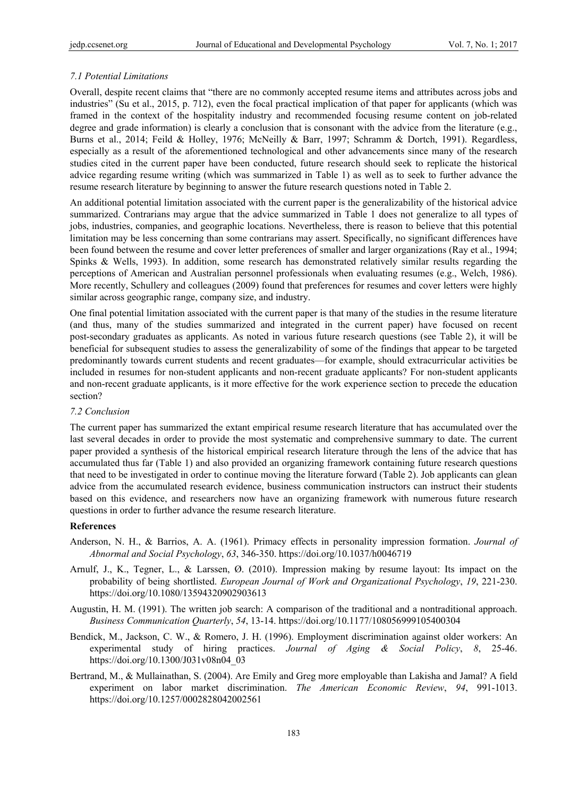# *7.1 Potential Limitations*

Overall, despite recent claims that "there are no commonly accepted resume items and attributes across jobs and industries" (Su et al., 2015, p. 712), even the focal practical implication of that paper for applicants (which was framed in the context of the hospitality industry and recommended focusing resume content on job-related degree and grade information) is clearly a conclusion that is consonant with the advice from the literature (e.g., Burns et al., 2014; Feild & Holley, 1976; McNeilly & Barr, 1997; Schramm & Dortch, 1991). Regardless, especially as a result of the aforementioned technological and other advancements since many of the research studies cited in the current paper have been conducted, future research should seek to replicate the historical advice regarding resume writing (which was summarized in Table 1) as well as to seek to further advance the resume research literature by beginning to answer the future research questions noted in Table 2.

An additional potential limitation associated with the current paper is the generalizability of the historical advice summarized. Contrarians may argue that the advice summarized in Table 1 does not generalize to all types of jobs, industries, companies, and geographic locations. Nevertheless, there is reason to believe that this potential limitation may be less concerning than some contrarians may assert. Specifically, no significant differences have been found between the resume and cover letter preferences of smaller and larger organizations (Ray et al., 1994; Spinks & Wells, 1993). In addition, some research has demonstrated relatively similar results regarding the perceptions of American and Australian personnel professionals when evaluating resumes (e.g., Welch, 1986). More recently, Schullery and colleagues (2009) found that preferences for resumes and cover letters were highly similar across geographic range, company size, and industry.

One final potential limitation associated with the current paper is that many of the studies in the resume literature (and thus, many of the studies summarized and integrated in the current paper) have focused on recent post-secondary graduates as applicants. As noted in various future research questions (see Table 2), it will be beneficial for subsequent studies to assess the generalizability of some of the findings that appear to be targeted predominantly towards current students and recent graduates—for example, should extracurricular activities be included in resumes for non-student applicants and non-recent graduate applicants? For non-student applicants and non-recent graduate applicants, is it more effective for the work experience section to precede the education section?

#### *7.2 Conclusion*

The current paper has summarized the extant empirical resume research literature that has accumulated over the last several decades in order to provide the most systematic and comprehensive summary to date. The current paper provided a synthesis of the historical empirical research literature through the lens of the advice that has accumulated thus far (Table 1) and also provided an organizing framework containing future research questions that need to be investigated in order to continue moving the literature forward (Table 2). Job applicants can glean advice from the accumulated research evidence, business communication instructors can instruct their students based on this evidence, and researchers now have an organizing framework with numerous future research questions in order to further advance the resume research literature.

#### **References**

- Anderson, N. H., & Barrios, A. A. (1961). Primacy effects in personality impression formation. *Journal of Abnormal and Social Psychology*, *63*, 346-350. https://doi.org/10.1037/h0046719
- Arnulf, J., K., Tegner, L., & Larssen, Ø. (2010). Impression making by resume layout: Its impact on the probability of being shortlisted. *European Journal of Work and Organizational Psychology*, *19*, 221-230. https://doi.org/10.1080/13594320902903613
- Augustin, H. M. (1991). The written job search: A comparison of the traditional and a nontraditional approach. *Business Communication Quarterly*, *54*, 13-14. https://doi.org/10.1177/108056999105400304
- Bendick, M., Jackson, C. W., & Romero, J. H. (1996). Employment discrimination against older workers: An experimental study of hiring practices. *Journal of Aging & Social Policy*, *8*, 25-46. https://doi.org/10.1300/J031v08n04\_03
- Bertrand, M., & Mullainathan, S. (2004). Are Emily and Greg more employable than Lakisha and Jamal? A field experiment on labor market discrimination. *The American Economic Review*, *94*, 991-1013. https://doi.org/10.1257/0002828042002561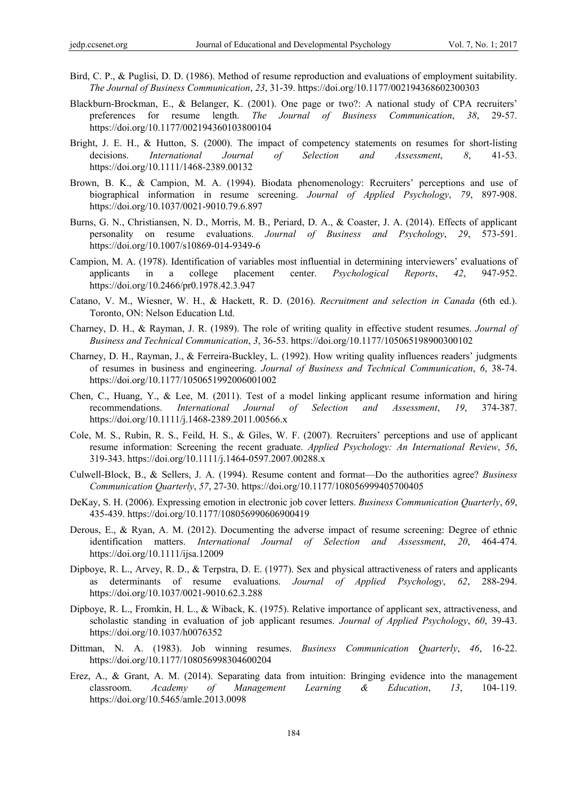- Bird, C. P., & Puglisi, D. D. (1986). Method of resume reproduction and evaluations of employment suitability. *The Journal of Business Communication*, *23*, 31-39. https://doi.org/10.1177/002194368602300303
- Blackburn-Brockman, E., & Belanger, K. (2001). One page or two?: A national study of CPA recruiters' preferences for resume length. *The Journal of Business Communication*, *38*, 29-57. https://doi.org/10.1177/002194360103800104
- Bright, J. E. H., & Hutton, S. (2000). The impact of competency statements on resumes for short-listing decisions. *International Journal of Selection and Assessment*, *8*, 41-53. https://doi.org/10.1111/1468-2389.00132
- Brown, B. K., & Campion, M. A. (1994). Biodata phenomenology: Recruiters' perceptions and use of biographical information in resume screening. *Journal of Applied Psychology*, *79*, 897-908. https://doi.org/10.1037/0021-9010.79.6.897
- Burns, G. N., Christiansen, N. D., Morris, M. B., Periard, D. A., & Coaster, J. A. (2014). Effects of applicant personality on resume evaluations. *Journal of Business and Psychology*, *29*, 573-591. https://doi.org/10.1007/s10869-014-9349-6
- Campion, M. A. (1978). Identification of variables most influential in determining interviewers' evaluations of applicants in a college placement center. *Psychological Reports*, *42*, 947-952. https://doi.org/10.2466/pr0.1978.42.3.947
- Catano, V. M., Wiesner, W. H., & Hackett, R. D. (2016). *Recruitment and selection in Canada* (6th ed.). Toronto, ON: Nelson Education Ltd.
- Charney, D. H., & Rayman, J. R. (1989). The role of writing quality in effective student resumes. *Journal of Business and Technical Communication*, *3*, 36-53. https://doi.org/10.1177/105065198900300102
- Charney, D. H., Rayman, J., & Ferreira-Buckley, L. (1992). How writing quality influences readers' judgments of resumes in business and engineering. *Journal of Business and Technical Communication*, *6*, 38-74. https://doi.org/10.1177/1050651992006001002
- Chen, C., Huang, Y., & Lee, M. (2011). Test of a model linking applicant resume information and hiring recommendations. *International Journal of Selection and Assessment*, *19*, 374-387. https://doi.org/10.1111/j.1468-2389.2011.00566.x
- Cole, M. S., Rubin, R. S., Feild, H. S., & Giles, W. F. (2007). Recruiters' perceptions and use of applicant resume information: Screening the recent graduate. *Applied Psychology: An International Review*, *56*, 319-343. https://doi.org/10.1111/j.1464-0597.2007.00288.x
- Culwell-Block, B., & Sellers, J. A. (1994). Resume content and format—Do the authorities agree? *Business Communication Quarterly*, *57*, 27-30. https://doi.org/10.1177/108056999405700405
- DeKay, S. H. (2006). Expressing emotion in electronic job cover letters. *Business Communication Quarterly*, *69*, 435-439. https://doi.org/10.1177/108056990606900419
- Derous, E., & Ryan, A. M. (2012). Documenting the adverse impact of resume screening: Degree of ethnic identification matters. *International Journal of Selection and Assessment*, *20*, 464-474. https://doi.org/10.1111/ijsa.12009
- Dipboye, R. L., Arvey, R. D., & Terpstra, D. E. (1977). Sex and physical attractiveness of raters and applicants as determinants of resume evaluations. *Journal of Applied Psychology*, *62*, 288-294. https://doi.org/10.1037/0021-9010.62.3.288
- Dipboye, R. L., Fromkin, H. L., & Wiback, K. (1975). Relative importance of applicant sex, attractiveness, and scholastic standing in evaluation of job applicant resumes. *Journal of Applied Psychology*, *60*, 39-43. https://doi.org/10.1037/h0076352
- Dittman, N. A. (1983). Job winning resumes. *Business Communication Quarterly*, *46*, 16-22. https://doi.org/10.1177/108056998304600204
- Erez, A., & Grant, A. M. (2014). Separating data from intuition: Bringing evidence into the management classroom. *Academy of Management Learning & Education*, *13*, 104-119. https://doi.org/10.5465/amle.2013.0098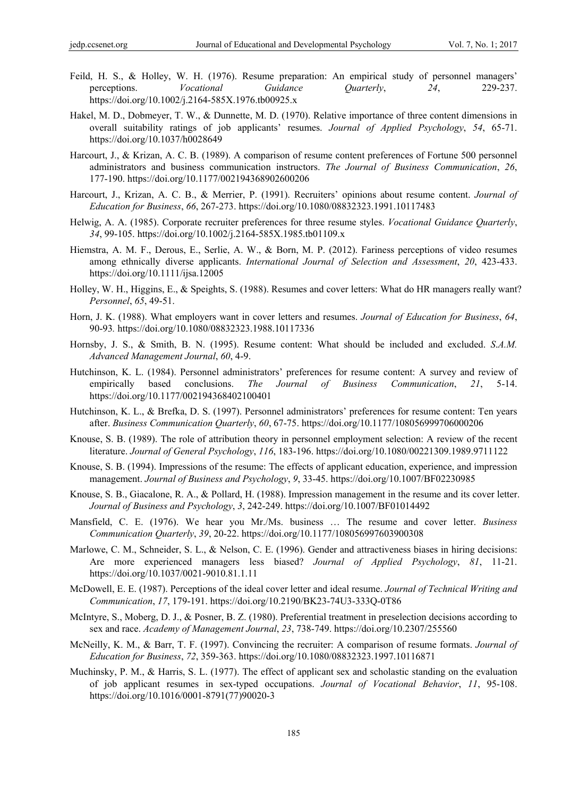- Feild, H. S., & Holley, W. H. (1976). Resume preparation: An empirical study of personnel managers' perceptions. *Vocational Guidance Quarterly*, *24*, 229-237. https://doi.org/10.1002/j.2164-585X.1976.tb00925.x
- Hakel, M. D., Dobmeyer, T. W., & Dunnette, M. D. (1970). Relative importance of three content dimensions in overall suitability ratings of job applicants' resumes. *Journal of Applied Psychology*, *54*, 65-71. https://doi.org/10.1037/h0028649
- Harcourt, J., & Krizan, A. C. B. (1989). A comparison of resume content preferences of Fortune 500 personnel administrators and business communication instructors. *The Journal of Business Communication*, *26*, 177-190. https://doi.org/10.1177/002194368902600206
- Harcourt, J., Krizan, A. C. B., & Merrier, P. (1991). Recruiters' opinions about resume content. *Journal of Education for Business*, *66*, 267-273. https://doi.org/10.1080/08832323.1991.10117483
- Helwig, A. A. (1985). Corporate recruiter preferences for three resume styles. *Vocational Guidance Quarterly*, *34*, 99-105. https://doi.org/10.1002/j.2164-585X.1985.tb01109.x
- Hiemstra, A. M. F., Derous, E., Serlie, A. W., & Born, M. P. (2012). Fariness perceptions of video resumes among ethnically diverse applicants. *International Journal of Selection and Assessment*, *20*, 423-433. https://doi.org/10.1111/ijsa.12005
- Holley, W. H., Higgins, E., & Speights, S. (1988). Resumes and cover letters: What do HR managers really want? *Personnel*, *65*, 49-51.
- Horn, J. K. (1988). What employers want in cover letters and resumes. *Journal of Education for Business*, *64*, 90-93*.* https://doi.org/10.1080/08832323.1988.10117336
- Hornsby, J. S., & Smith, B. N. (1995). Resume content: What should be included and excluded. *S*.*A.M. Advanced Management Journal*, *60*, 4-9.
- Hutchinson, K. L. (1984). Personnel administrators' preferences for resume content: A survey and review of empirically based conclusions. *The Journal of Business Communication*, *21*, 5-14. https://doi.org/10.1177/002194368402100401
- Hutchinson, K. L., & Brefka, D. S. (1997). Personnel administrators' preferences for resume content: Ten years after. *Business Communication Quarterly*, *60*, 67-75. https://doi.org/10.1177/108056999706000206
- Knouse, S. B. (1989). The role of attribution theory in personnel employment selection: A review of the recent literature. *Journal of General Psychology*, *116*, 183-196. https://doi.org/10.1080/00221309.1989.9711122
- Knouse, S. B. (1994). Impressions of the resume: The effects of applicant education, experience, and impression management. *Journal of Business and Psychology*, *9*, 33-45. https://doi.org/10.1007/BF02230985
- Knouse, S. B., Giacalone, R. A., & Pollard, H. (1988). Impression management in the resume and its cover letter. *Journal of Business and Psychology*, *3*, 242-249. https://doi.org/10.1007/BF01014492
- Mansfield, C. E. (1976). We hear you Mr./Ms. business … The resume and cover letter. *Business Communication Quarterly*, *39*, 20-22. https://doi.org/10.1177/108056997603900308
- Marlowe, C. M., Schneider, S. L., & Nelson, C. E. (1996). Gender and attractiveness biases in hiring decisions: Are more experienced managers less biased? *Journal of Applied Psychology*, *81*, 11-21. https://doi.org/10.1037/0021-9010.81.1.11
- McDowell, E. E. (1987). Perceptions of the ideal cover letter and ideal resume. *Journal of Technical Writing and Communication*, *17*, 179-191. https://doi.org/10.2190/BK23-74U3-333Q-0T86
- McIntyre, S., Moberg, D. J., & Posner, B. Z. (1980). Preferential treatment in preselection decisions according to sex and race. *Academy of Management Journal*, *23*, 738-749. https://doi.org/10.2307/255560
- McNeilly, K. M., & Barr, T. F. (1997). Convincing the recruiter: A comparison of resume formats. *Journal of Education for Business*, *72*, 359-363. https://doi.org/10.1080/08832323.1997.10116871
- Muchinsky, P. M., & Harris, S. L. (1977). The effect of applicant sex and scholastic standing on the evaluation of job applicant resumes in sex-typed occupations. *Journal of Vocational Behavior*, *11*, 95-108. https://doi.org/10.1016/0001-8791(77)90020-3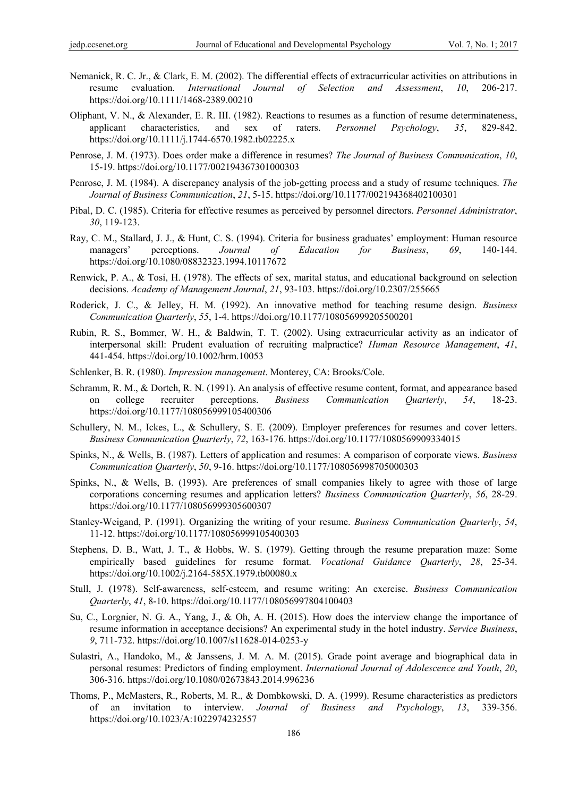- Nemanick, R. C. Jr., & Clark, E. M. (2002). The differential effects of extracurricular activities on attributions in resume evaluation. *International Journal of Selection and Assessment*, *10*, 206-217. https://doi.org/10.1111/1468-2389.00210
- Oliphant, V. N., & Alexander, E. R. III. (1982). Reactions to resumes as a function of resume determinateness, applicant characteristics, and sex of raters. *Personnel Psychology*, *35*, 829-842. https://doi.org/10.1111/j.1744-6570.1982.tb02225.x
- Penrose, J. M. (1973). Does order make a difference in resumes? *The Journal of Business Communication*, *10*, 15-19. https://doi.org/10.1177/002194367301000303
- Penrose, J. M. (1984). A discrepancy analysis of the job-getting process and a study of resume techniques. *The Journal of Business Communication*, *21*, 5-15. https://doi.org/10.1177/002194368402100301
- Pibal, D. C. (1985). Criteria for effective resumes as perceived by personnel directors. *Personnel Administrator*, *30*, 119-123.
- Ray, C. M., Stallard, J. J., & Hunt, C. S. (1994). Criteria for business graduates' employment: Human resource managers' perceptions. *Journal of Education for Business*, *69*, 140-144. https://doi.org/10.1080/08832323.1994.10117672
- Renwick, P. A., & Tosi, H. (1978). The effects of sex, marital status, and educational background on selection decisions. *Academy of Management Journal*, *21*, 93-103. https://doi.org/10.2307/255665
- Roderick, J. C., & Jelley, H. M. (1992). An innovative method for teaching resume design. *Business Communication Quarterly*, *55*, 1-4. https://doi.org/10.1177/108056999205500201
- Rubin, R. S., Bommer, W. H., & Baldwin, T. T. (2002). Using extracurricular activity as an indicator of interpersonal skill: Prudent evaluation of recruiting malpractice? *Human Resource Management*, *41*, 441-454. https://doi.org/10.1002/hrm.10053
- Schlenker, B. R. (1980). *Impression management*. Monterey, CA: Brooks/Cole.
- Schramm, R. M., & Dortch, R. N. (1991). An analysis of effective resume content, format, and appearance based on college recruiter perceptions. *Business Communication Quarterly*, *54*, 18-23. https://doi.org/10.1177/108056999105400306
- Schullery, N. M., Ickes, L., & Schullery, S. E. (2009). Employer preferences for resumes and cover letters. *Business Communication Quarterly*, *72*, 163-176. https://doi.org/10.1177/1080569909334015
- Spinks, N., & Wells, B. (1987). Letters of application and resumes: A comparison of corporate views. *Business Communication Quarterly*, *50*, 9-16. https://doi.org/10.1177/108056998705000303
- Spinks, N., & Wells, B. (1993). Are preferences of small companies likely to agree with those of large corporations concerning resumes and application letters? *Business Communication Quarterly*, *56*, 28-29. https://doi.org/10.1177/108056999305600307
- Stanley-Weigand, P. (1991). Organizing the writing of your resume. *Business Communication Quarterly*, *54*, 11-12. https://doi.org/10.1177/108056999105400303
- Stephens, D. B., Watt, J. T., & Hobbs, W. S. (1979). Getting through the resume preparation maze: Some empirically based guidelines for resume format. *Vocational Guidance Quarterly*, *28*, 25-34. https://doi.org/10.1002/j.2164-585X.1979.tb00080.x
- Stull, J. (1978). Self-awareness, self-esteem, and resume writing: An exercise. *Business Communication Quarterly*, *41*, 8-10. https://doi.org/10.1177/108056997804100403
- Su, C., Lorgnier, N. G. A., Yang, J., & Oh, A. H. (2015). How does the interview change the importance of resume information in acceptance decisions? An experimental study in the hotel industry. *Service Business*, *9*, 711-732. https://doi.org/10.1007/s11628-014-0253-y
- Sulastri, A., Handoko, M., & Janssens, J. M. A. M. (2015). Grade point average and biographical data in personal resumes: Predictors of finding employment. *International Journal of Adolescence and Youth*, *20*, 306-316. https://doi.org/10.1080/02673843.2014.996236
- Thoms, P., McMasters, R., Roberts, M. R., & Dombkowski, D. A. (1999). Resume characteristics as predictors of an invitation to interview. *Journal of Business and Psychology*, *13*, 339-356. https://doi.org/10.1023/A:1022974232557